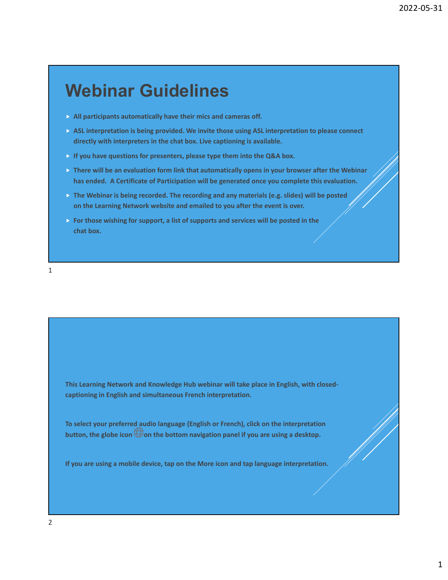# **Webinar Guidelines**

- **All participants automatically have their mics and cameras off.**
- **ASL interpretation is being provided. We invite those using ASL interpretation to please connect directly with interpreters in the chat box. Live captioning is available.**
- **If you have questions for presenters, please type them into the Q&A box.**
- **There will be an evaluation form link that automatically opens in your browser after the Webinar has ended. A Certificate of Participation will be generated once you complete this evaluation.**
- **The Webinar is being recorded. The recording and any materials (e.g. slides) will be posted on the Learning Network website and emailed to you after the event is over.**
- **For those wishing for support, a list of supports and services will be posted in the chat box.**

1

**This Learning Network and Knowledge Hub webinar will take place in English, with closed‐ captioning in English and simultaneous French interpretation.**

**To select your preferred audio language (English or French), click on the interpretation button, the globe icon on the bottom navigation panel if you are using a desktop.**

**If you are using a mobile device, tap on the More icon and tap language interpretation.**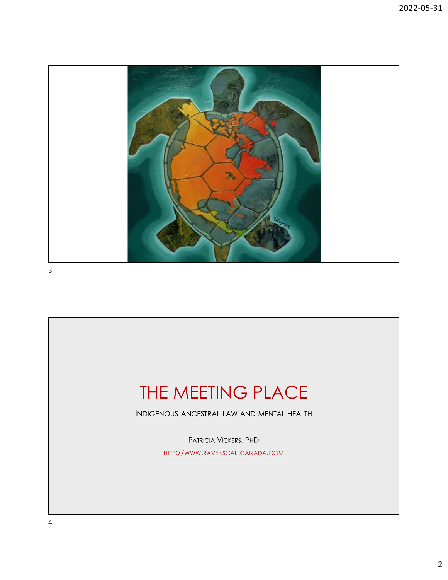

3

# THE MEETING PLACE

INDIGENOUS ANCESTRAL LAW AND MENTAL HEALTH

PATRICIA VICKERS, PHD [HTTP://WWW.RAVENSCALLCANADA.COM](https://www.ravenscallcanada.com/)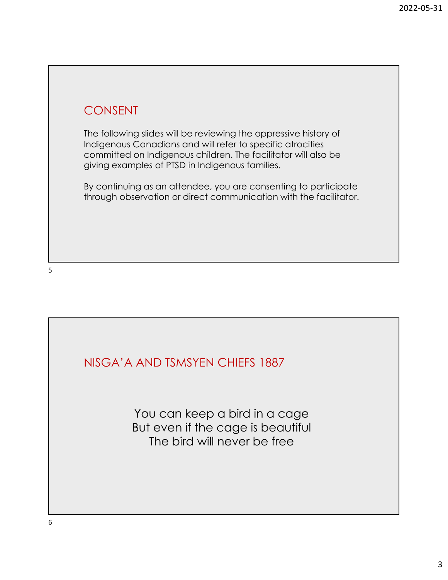## CONSENT

The following slides will be reviewing the oppressive history of Indigenous Canadians and will refer to specific atrocities committed on Indigenous children. The facilitator will also be giving examples of PTSD in Indigenous families.

By continuing as an attendee, you are consenting to participate through observation or direct communication with the facilitator.

NISGA'A AND TSMSYEN CHIEFS 1887

You can keep a bird in a cage But even if the cage is beautiful The bird will never be free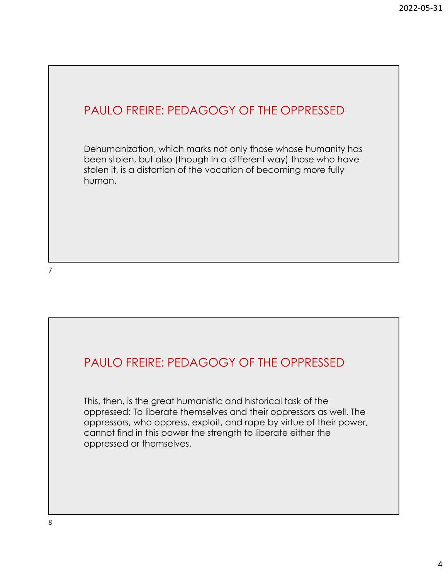#### PAULO FREIRE: PEDAGOGY OF THE OPPRESSED

Dehumanization, which marks not only those whose humanity has been stolen, but also (though in a different way) those who have stolen it, is a distortion of the vocation of becoming more fully human.

#### PAULO FREIRE: PEDAGOGY OF THE OPPRESSED

This, then, is the great humanistic and historical task of the oppressed: To liberate themselves and their oppressors as well. The oppressors, who oppress, exploit, and rape by virtue of their power, cannot find in this power the strength to liberate either the oppressed or themselves.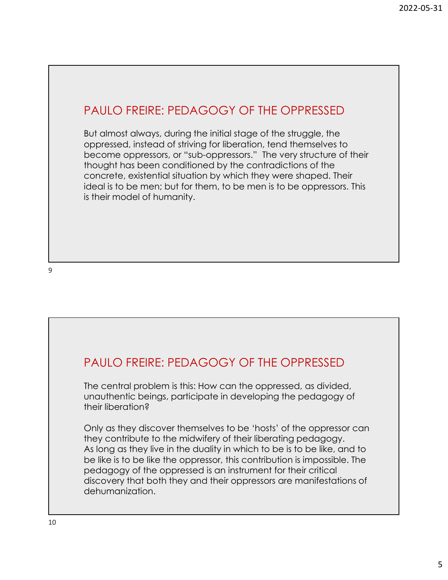#### PAULO FREIRE: PEDAGOGY OF THE OPPRESSED

But almost always, during the initial stage of the struggle, the oppressed, instead of striving for liberation, tend themselves to become oppressors, or "sub-oppressors." The very structure of their thought has been conditioned by the contradictions of the concrete, existential situation by which they were shaped. Their ideal is to be men; but for them, to be men is to be oppressors. This is their model of humanity.

#### PAULO FREIRE: PEDAGOGY OF THE OPPRESSED

The central problem is this: How can the oppressed, as divided, unauthentic beings, participate in developing the pedagogy of their liberation?

Only as they discover themselves to be 'hosts' of the oppressor can they contribute to the midwifery of their liberating pedagogy. As long as they live in the duality in which to be is to be like, and to be like is to be like the oppressor, this contribution is impossible. The pedagogy of the oppressed is an instrument for their critical discovery that both they and their oppressors are manifestations of dehumanization.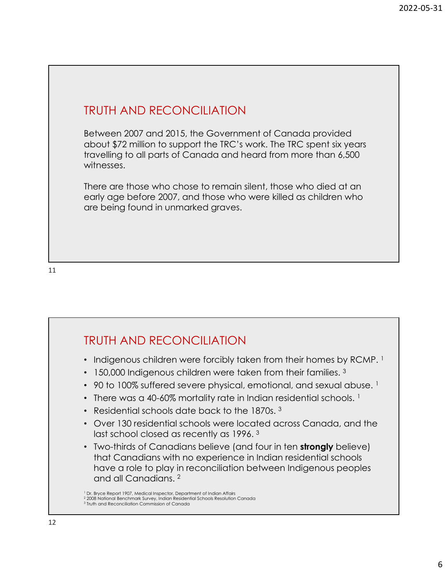#### TRUTH AND RECONCILIATION

Between 2007 and 2015, the Government of Canada provided about \$72 million to support the TRC's work. The TRC spent six years travelling to all parts of Canada and heard from more than 6,500 witnesses.

There are those who chose to remain silent, those who died at an early age before 2007, and those who were killed as children who are being found in unmarked graves.

#### TRUTH AND RECONCILIATION

- Indigenous children were forcibly taken from their homes by RCMP.  $<sup>1</sup>$ </sup>
- 150,000 Indigenous children were taken from their families.<sup>3</sup>
- 90 to 100% suffered severe physical, emotional, and sexual abuse.  $1$
- There was a 40-60% mortality rate in Indian residential schools. <sup>1</sup>
- Residential schools date back to the 1870s. 3
- Over 130 residential schools were located across Canada, and the last school closed as recently as 1996.<sup>3</sup>
- Two-thirds of Canadians believe (and four in ten **strongly** believe) that Canadians with no experience in Indian residential schools have a role to play in reconciliation between Indigenous peoples and all Canadians. <sup>2</sup>

<sup>&</sup>lt;sup>1</sup> Dr. Bryce Report 1907, Medical Inspector, Department of Indian Affairs

<sup>2</sup> 2008 National Benchmark Survey, Indian Residential Schools Resolution Canada <sup>3</sup> Truth and Reconciliation Commission of Canada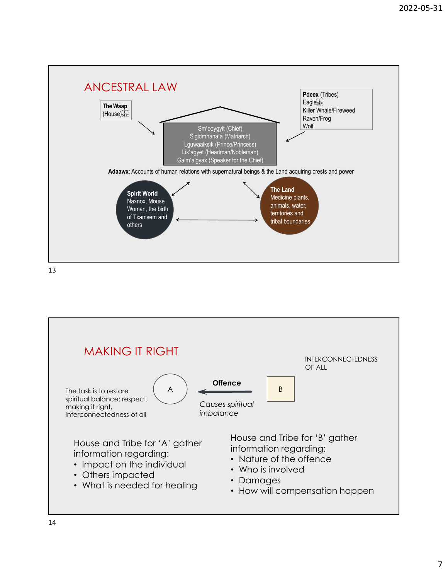